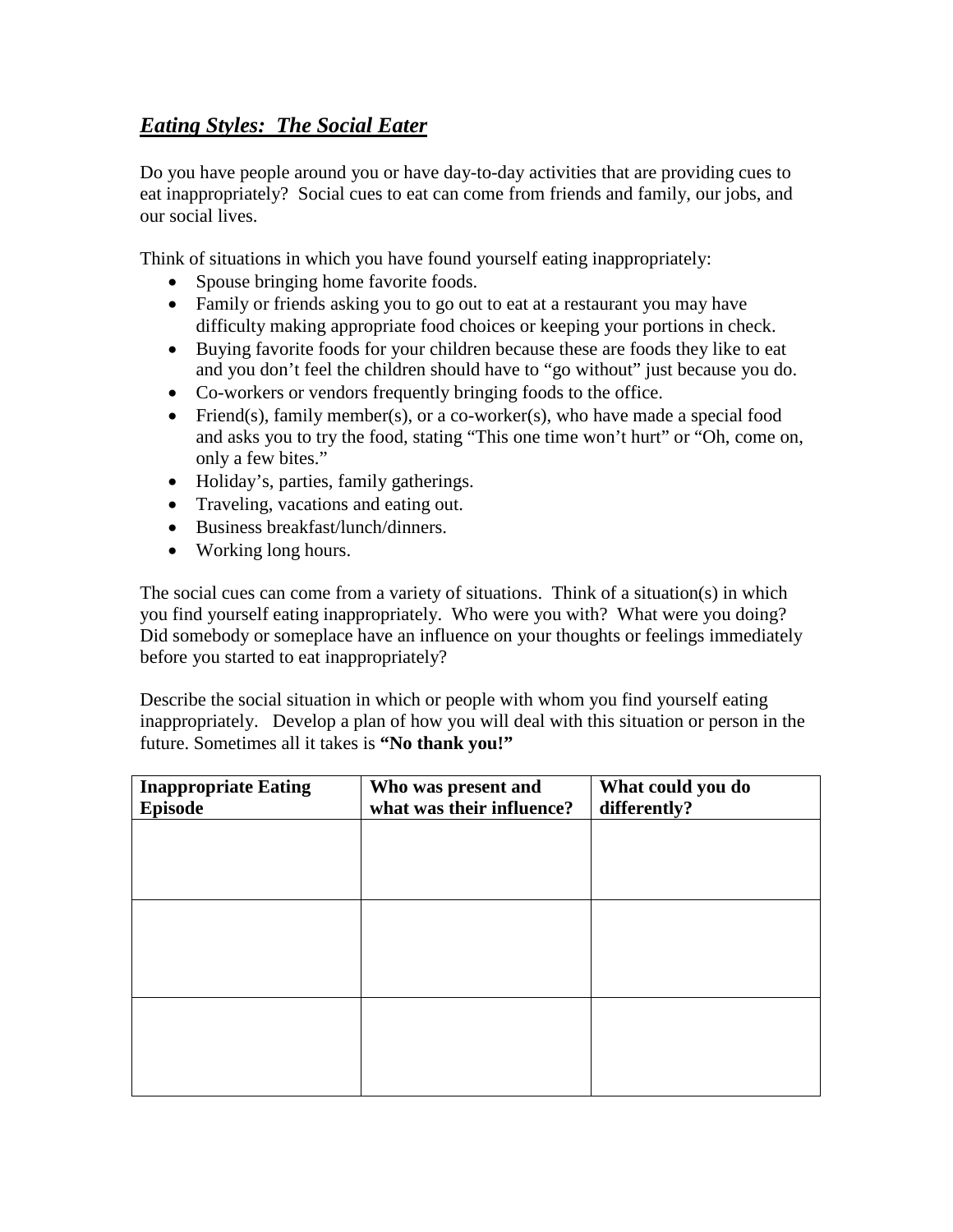# *Eating Styles: The Social Eater*

Do you have people around you or have day-to-day activities that are providing cues to eat inappropriately? Social cues to eat can come from friends and family, our jobs, and our social lives.

Think of situations in which you have found yourself eating inappropriately:

- Spouse bringing home favorite foods.
- Family or friends asking you to go out to eat at a restaurant you may have difficulty making appropriate food choices or keeping your portions in check.
- Buying favorite foods for your children because these are foods they like to eat and you don't feel the children should have to "go without" just because you do.
- Co-workers or vendors frequently bringing foods to the office.
- Friend(s), family member(s), or a co-worker(s), who have made a special food and asks you to try the food, stating "This one time won't hurt" or "Oh, come on, only a few bites."
- Holiday's, parties, family gatherings.
- Traveling, vacations and eating out.
- Business breakfast/lunch/dinners.
- Working long hours.

The social cues can come from a variety of situations. Think of a situation(s) in which you find yourself eating inappropriately. Who were you with? What were you doing? Did somebody or someplace have an influence on your thoughts or feelings immediately before you started to eat inappropriately?

Describe the social situation in which or people with whom you find yourself eating inappropriately. Develop a plan of how you will deal with this situation or person in the future. Sometimes all it takes is **"No thank you!"**

| <b>Inappropriate Eating</b><br><b>Episode</b> | Who was present and<br>what was their influence? | What could you do<br>differently? |
|-----------------------------------------------|--------------------------------------------------|-----------------------------------|
|                                               |                                                  |                                   |
|                                               |                                                  |                                   |
|                                               |                                                  |                                   |
|                                               |                                                  |                                   |
|                                               |                                                  |                                   |
|                                               |                                                  |                                   |
|                                               |                                                  |                                   |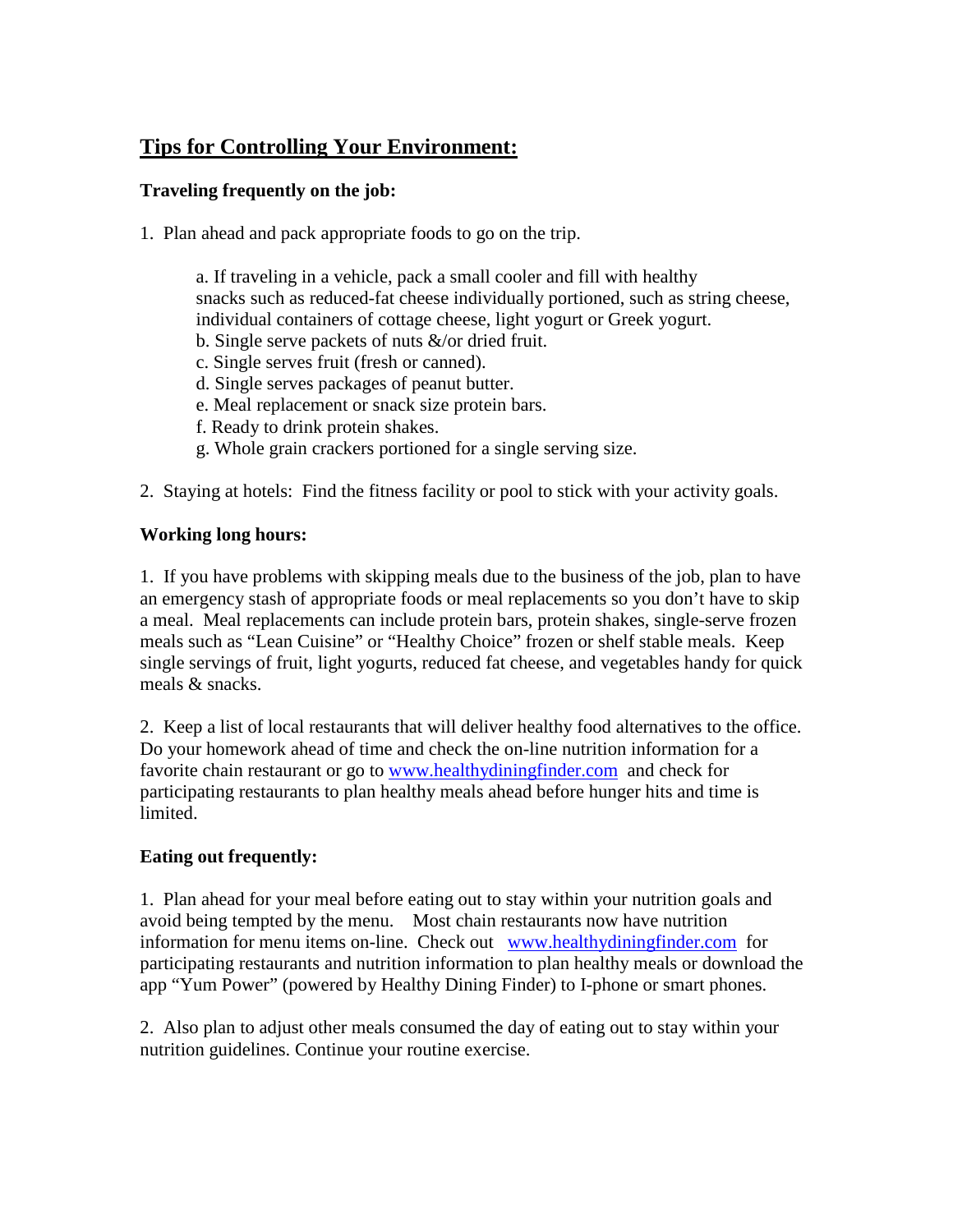# **Tips for Controlling Your Environment:**

#### **Traveling frequently on the job:**

1. Plan ahead and pack appropriate foods to go on the trip.

a. If traveling in a vehicle, pack a small cooler and fill with healthy snacks such as reduced-fat cheese individually portioned, such as string cheese, individual containers of cottage cheese, light yogurt or Greek yogurt.

- b. Single serve packets of nuts &/or dried fruit.
- c. Single serves fruit (fresh or canned).
- d. Single serves packages of peanut butter.
- e. Meal replacement or snack size protein bars.
- f. Ready to drink protein shakes.
- g. Whole grain crackers portioned for a single serving size.
- 2. Staying at hotels: Find the fitness facility or pool to stick with your activity goals.

### **Working long hours:**

1. If you have problems with skipping meals due to the business of the job, plan to have an emergency stash of appropriate foods or meal replacements so you don't have to skip a meal. Meal replacements can include protein bars, protein shakes, single-serve frozen meals such as "Lean Cuisine" or "Healthy Choice" frozen or shelf stable meals. Keep single servings of fruit, light yogurts, reduced fat cheese, and vegetables handy for quick meals & snacks.

2. Keep a list of local restaurants that will deliver healthy food alternatives to the office. Do your homework ahead of time and check the on-line nutrition information for a favorite chain restaurant or go to [www.healthydiningfinder.com](http://www.healthydiningfinder.com/) and check for participating restaurants to plan healthy meals ahead before hunger hits and time is limited.

### **Eating out frequently:**

1. Plan ahead for your meal before eating out to stay within your nutrition goals and avoid being tempted by the menu. Most chain restaurants now have nutrition information for menu items on-line. Check out [www.healthydiningfinder.com](http://www.healthydiningfinder.com/) for participating restaurants and nutrition information to plan healthy meals or download the app "Yum Power" (powered by Healthy Dining Finder) to I-phone or smart phones.

2. Also plan to adjust other meals consumed the day of eating out to stay within your nutrition guidelines. Continue your routine exercise.